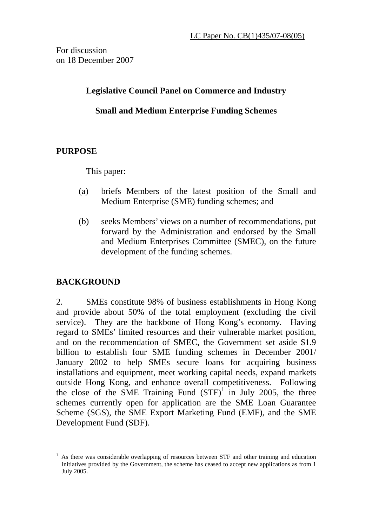For discussion on 18 December 2007

### **Legislative Council Panel on Commerce and Industry**

## **Small and Medium Enterprise Funding Schemes**

## **PURPOSE**

This paper:

- (a) briefs Members of the latest position of the Small and Medium Enterprise (SME) funding schemes; and
- (b) seeks Members' views on a number of recommendations, put forward by the Administration and endorsed by the Small and Medium Enterprises Committee (SMEC), on the future development of the funding schemes.

# **BACKGROUND**

2. SMEs constitute 98% of business establishments in Hong Kong and provide about 50% of the total employment (excluding the civil service). They are the backbone of Hong Kong's economy. Having regard to SMEs' limited resources and their vulnerable market position, and on the recommendation of SMEC, the Government set aside \$1.9 billion to establish four SME funding schemes in December 2001/ January 2002 to help SMEs secure loans for acquiring business installations and equipment, meet working capital needs, expand markets outside Hong Kong, and enhance overall competitiveness. Following the close of the SME Training Fund  $(STF)^1$  in July 2005, the three schemes currently open for application are the SME Loan Guarantee Scheme (SGS), the SME Export Marketing Fund (EMF), and the SME Development Fund (SDF).

 $\overline{a}$ 1 As there was considerable overlapping of resources between STF and other training and education initiatives provided by the Government, the scheme has ceased to accept new applications as from 1 July 2005.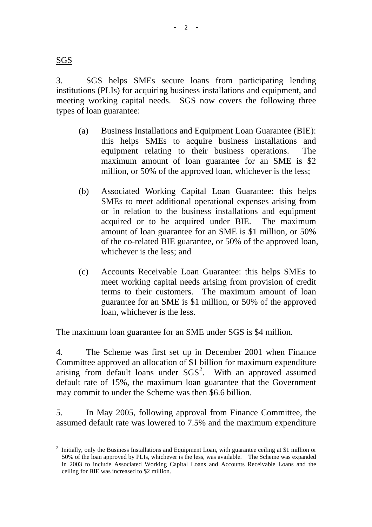SGS

3. SGS helps SMEs secure loans from participating lending institutions (PLIs) for acquiring business installations and equipment, and meeting working capital needs. SGS now covers the following three types of loan guarantee:

- (a) Business Installations and Equipment Loan Guarantee (BIE): this helps SMEs to acquire business installations and equipment relating to their business operations. The maximum amount of loan guarantee for an SME is \$2 million, or 50% of the approved loan, whichever is the less;
- (b) Associated Working Capital Loan Guarantee: this helps SMEs to meet additional operational expenses arising from or in relation to the business installations and equipment acquired or to be acquired under BIE. The maximum amount of loan guarantee for an SME is \$1 million, or 50% of the co-related BIE guarantee, or 50% of the approved loan, whichever is the less; and
- (c) Accounts Receivable Loan Guarantee: this helps SMEs to meet working capital needs arising from provision of credit terms to their customers. The maximum amount of loan guarantee for an SME is \$1 million, or 50% of the approved loan, whichever is the less.

The maximum loan guarantee for an SME under SGS is \$4 million.

4. The Scheme was first set up in December 2001 when Finance Committee approved an allocation of \$1 billion for maximum expenditure arising from default loans under  $SGS<sup>2</sup>$ . With an approved assumed default rate of 15%, the maximum loan guarantee that the Government may commit to under the Scheme was then \$6.6 billion.

5. In May 2005, following approval from Finance Committee, the assumed default rate was lowered to 7.5% and the maximum expenditure

 $\overline{a}$ <sup>2</sup> Initially, only the Business Installations and Equipment Loan, with guarantee ceiling at \$1 million or 50% of the loan approved by PLIs, whichever is the less, was available. The Scheme was expanded in 2003 to include Associated Working Capital Loans and Accounts Receivable Loans and the ceiling for BIE was increased to \$2 million.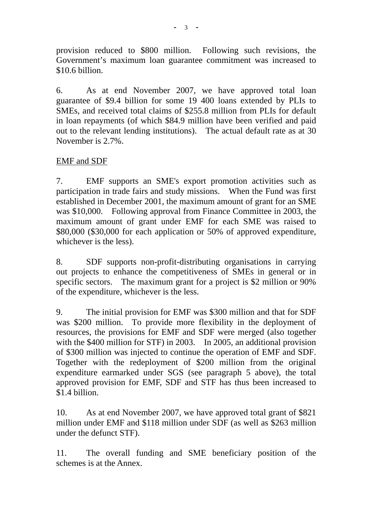provision reduced to \$800 million. Following such revisions, the Government's maximum loan guarantee commitment was increased to \$10.6 billion.

6. As at end November 2007, we have approved total loan guarantee of \$9.4 billion for some 19 400 loans extended by PLIs to SMEs, and received total claims of \$255.8 million from PLIs for default in loan repayments (of which \$84.9 million have been verified and paid out to the relevant lending institutions). The actual default rate as at 30 November is 2.7%.

## EMF and SDF

7. EMF supports an SME's export promotion activities such as participation in trade fairs and study missions. When the Fund was first established in December 2001, the maximum amount of grant for an SME was \$10,000. Following approval from Finance Committee in 2003, the maximum amount of grant under EMF for each SME was raised to \$80,000 (\$30,000 for each application or 50% of approved expenditure, whichever is the less).

8. SDF supports non-profit-distributing organisations in carrying out projects to enhance the competitiveness of SMEs in general or in specific sectors. The maximum grant for a project is \$2 million or 90% of the expenditure, whichever is the less.

9. The initial provision for EMF was \$300 million and that for SDF was \$200 million. To provide more flexibility in the deployment of resources, the provisions for EMF and SDF were merged (also together with the \$400 million for STF) in 2003. In 2005, an additional provision of \$300 million was injected to continue the operation of EMF and SDF. Together with the redeployment of \$200 million from the original expenditure earmarked under SGS (see paragraph 5 above), the total approved provision for EMF, SDF and STF has thus been increased to \$1.4 billion.

10. As at end November 2007, we have approved total grant of \$821 million under EMF and \$118 million under SDF (as well as \$263 million under the defunct STF).

11. The overall funding and SME beneficiary position of the schemes is at the Annex.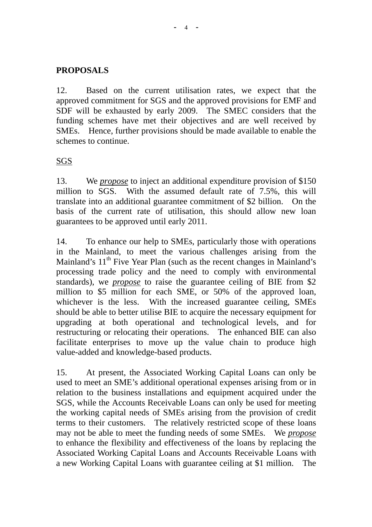#### **-** 4 **-**

### **PROPOSALS**

12. Based on the current utilisation rates, we expect that the approved commitment for SGS and the approved provisions for EMF and SDF will be exhausted by early 2009. The SMEC considers that the funding schemes have met their objectives and are well received by SMEs. Hence, further provisions should be made available to enable the schemes to continue.

### SGS

13. We *propose* to inject an additional expenditure provision of \$150 million to SGS. With the assumed default rate of 7.5%, this will translate into an additional guarantee commitment of \$2 billion. On the basis of the current rate of utilisation, this should allow new loan guarantees to be approved until early 2011.

14. To enhance our help to SMEs, particularly those with operations in the Mainland, to meet the various challenges arising from the Mainland's  $11<sup>th</sup>$  Five Year Plan (such as the recent changes in Mainland's processing trade policy and the need to comply with environmental standards), we *propose* to raise the guarantee ceiling of BIE from \$2 million to \$5 million for each SME, or 50% of the approved loan, whichever is the less. With the increased guarantee ceiling, SMEs should be able to better utilise BIE to acquire the necessary equipment for upgrading at both operational and technological levels, and for restructuring or relocating their operations. The enhanced BIE can also facilitate enterprises to move up the value chain to produce high value-added and knowledge-based products.

15. At present, the Associated Working Capital Loans can only be used to meet an SME's additional operational expenses arising from or in relation to the business installations and equipment acquired under the SGS, while the Accounts Receivable Loans can only be used for meeting the working capital needs of SMEs arising from the provision of credit terms to their customers. The relatively restricted scope of these loans may not be able to meet the funding needs of some SMEs. We *propose* to enhance the flexibility and effectiveness of the loans by replacing the Associated Working Capital Loans and Accounts Receivable Loans with a new Working Capital Loans with guarantee ceiling at \$1 million. The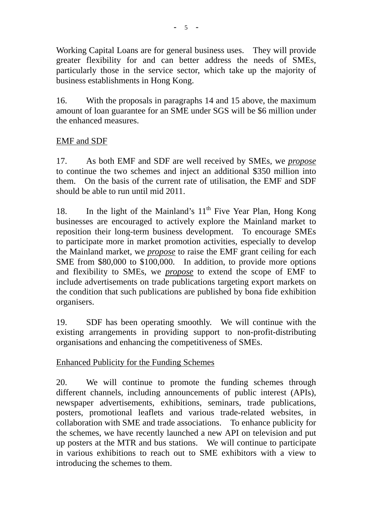Working Capital Loans are for general business uses. They will provide greater flexibility for and can better address the needs of SMEs, particularly those in the service sector, which take up the majority of business establishments in Hong Kong.

16. With the proposals in paragraphs 14 and 15 above, the maximum amount of loan guarantee for an SME under SGS will be \$6 million under the enhanced measures.

## EMF and SDF

17. As both EMF and SDF are well received by SMEs, we *propose* to continue the two schemes and inject an additional \$350 million into them. On the basis of the current rate of utilisation, the EMF and SDF should be able to run until mid 2011.

18. In the light of the Mainland's  $11<sup>th</sup>$  Five Year Plan, Hong Kong businesses are encouraged to actively explore the Mainland market to reposition their long-term business development. To encourage SMEs to participate more in market promotion activities, especially to develop the Mainland market, we *propose* to raise the EMF grant ceiling for each SME from \$80,000 to \$100,000. In addition, to provide more options and flexibility to SMEs, we *propose* to extend the scope of EMF to include advertisements on trade publications targeting export markets on the condition that such publications are published by bona fide exhibition organisers.

19. SDF has been operating smoothly. We will continue with the existing arrangements in providing support to non-profit-distributing organisations and enhancing the competitiveness of SMEs.

# Enhanced Publicity for the Funding Schemes

20. We will continue to promote the funding schemes through different channels, including announcements of public interest (APIs), newspaper advertisements, exhibitions, seminars, trade publications, posters, promotional leaflets and various trade-related websites, in collaboration with SME and trade associations. To enhance publicity for the schemes, we have recently launched a new API on television and put up posters at the MTR and bus stations. We will continue to participate in various exhibitions to reach out to SME exhibitors with a view to introducing the schemes to them.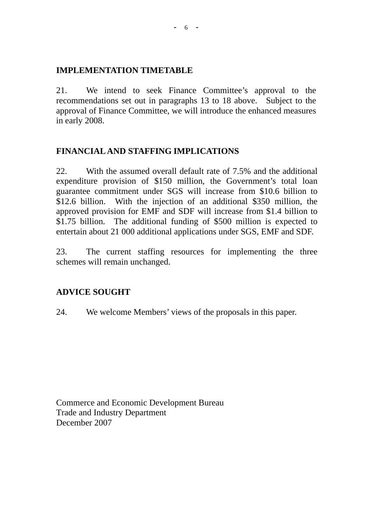### **IMPLEMENTATION TIMETABLE**

21. We intend to seek Finance Committee's approval to the recommendations set out in paragraphs 13 to 18 above. Subject to the approval of Finance Committee, we will introduce the enhanced measures in early 2008.

# **FINANCIAL AND STAFFING IMPLICATIONS**

22. With the assumed overall default rate of 7.5% and the additional expenditure provision of \$150 million, the Government's total loan guarantee commitment under SGS will increase from \$10.6 billion to \$12.6 billion. With the injection of an additional \$350 million, the approved provision for EMF and SDF will increase from \$1.4 billion to \$1.75 billion. The additional funding of \$500 million is expected to entertain about 21 000 additional applications under SGS, EMF and SDF.

23. The current staffing resources for implementing the three schemes will remain unchanged.

# **ADVICE SOUGHT**

24. We welcome Members' views of the proposals in this paper.

Commerce and Economic Development Bureau Trade and Industry Department December 2007